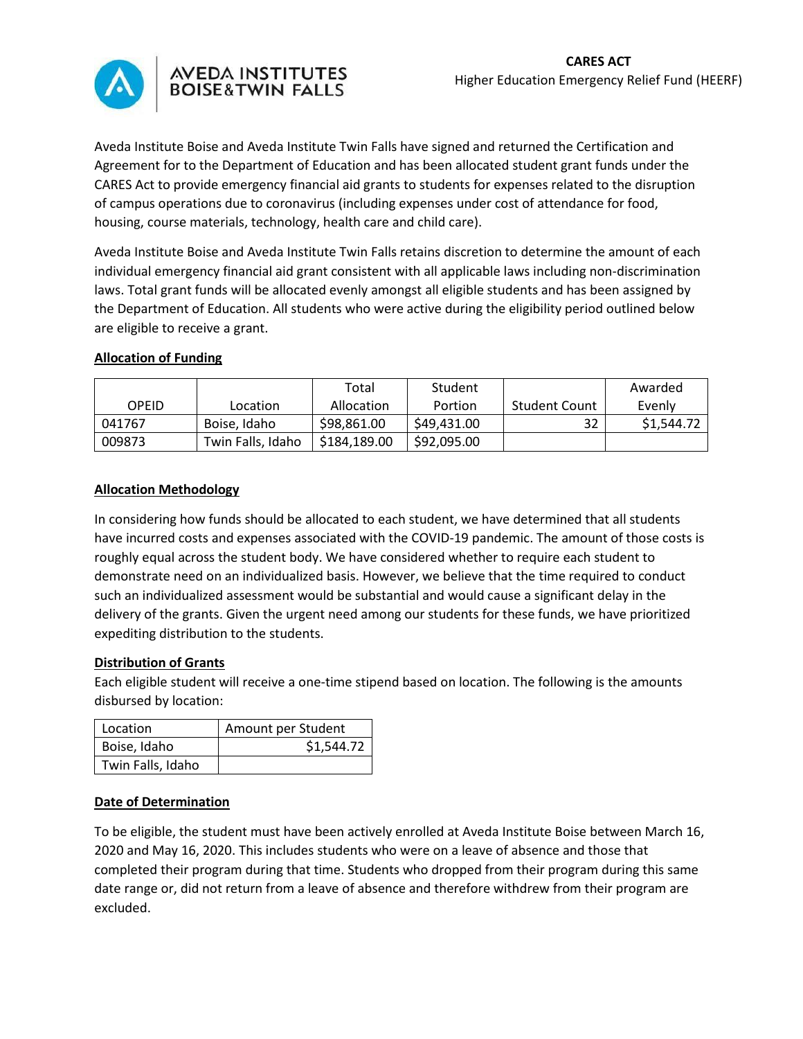

# AVEDA INSTITUTES<br>BOISE&TWIN FALLS

Aveda Institute Boise and Aveda Institute Twin Falls have signed and returned the Certification and Agreement for to the Department of Education and has been allocated student grant funds under the CARES Act to provide emergency financial aid grants to students for expenses related to the disruption of campus operations due to coronavirus (including expenses under cost of attendance for food, housing, course materials, technology, health care and child care).

Aveda Institute Boise and Aveda Institute Twin Falls retains discretion to determine the amount of each individual emergency financial aid grant consistent with all applicable laws including non-discrimination laws. Total grant funds will be allocated evenly amongst all eligible students and has been assigned by the Department of Education. All students who were active during the eligibility period outlined below are eligible to receive a grant.

## **Allocation of Funding**

|        |                   | Total        | Student     |                      | Awarded    |
|--------|-------------------|--------------|-------------|----------------------|------------|
| OPEID  | Location          | Allocation   | Portion     | <b>Student Count</b> | Evenly     |
| 041767 | Boise, Idaho      | \$98,861,00  | \$49,431.00 | 32                   | \$1,544.72 |
| 009873 | Twin Falls, Idaho | \$184.189.00 | \$92,095.00 |                      |            |

## **Allocation Methodology**

In considering how funds should be allocated to each student, we have determined that all students have incurred costs and expenses associated with the COVID-19 pandemic. The amount of those costs is roughly equal across the student body. We have considered whether to require each student to demonstrate need on an individualized basis. However, we believe that the time required to conduct such an individualized assessment would be substantial and would cause a significant delay in the delivery of the grants. Given the urgent need among our students for these funds, we have prioritized expediting distribution to the students.

## **Distribution of Grants**

Each eligible student will receive a one-time stipend based on location. The following is the amounts disbursed by location:

| Location          | Amount per Student |  |  |
|-------------------|--------------------|--|--|
| Boise, Idaho      | \$1,544.72         |  |  |
| Twin Falls, Idaho |                    |  |  |

## **Date of Determination**

To be eligible, the student must have been actively enrolled at Aveda Institute Boise between March 16, 2020 and May 16, 2020. This includes students who were on a leave of absence and those that completed their program during that time. Students who dropped from their program during this same date range or, did not return from a leave of absence and therefore withdrew from their program are excluded.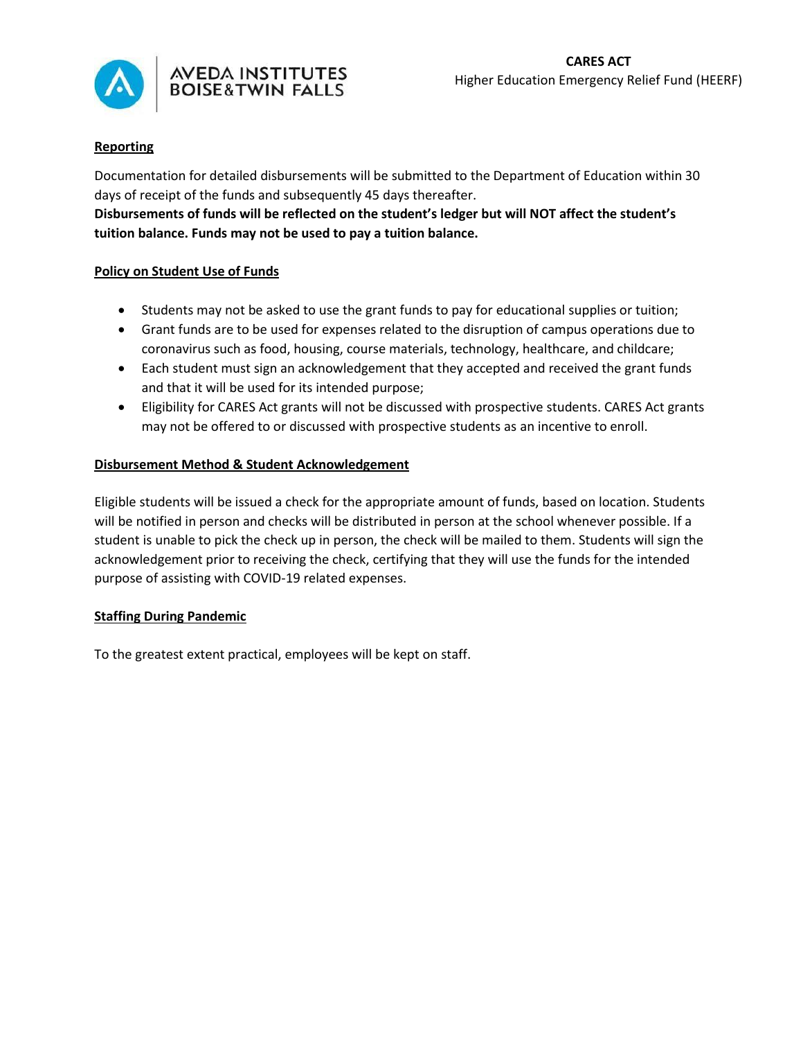

# AVEDA INSTITUTES<br>BOISE&TWIN FALLS

## **Reporting**

Documentation for detailed disbursements will be submitted to the Department of Education within 30 days of receipt of the funds and subsequently 45 days thereafter.

**Disbursements of funds will be reflected on the student's ledger but will NOT affect the student's tuition balance. Funds may not be used to pay a tuition balance.**

## **Policy on Student Use of Funds**

- Students may not be asked to use the grant funds to pay for educational supplies or tuition;
- Grant funds are to be used for expenses related to the disruption of campus operations due to coronavirus such as food, housing, course materials, technology, healthcare, and childcare;
- Each student must sign an acknowledgement that they accepted and received the grant funds and that it will be used for its intended purpose;
- Eligibility for CARES Act grants will not be discussed with prospective students. CARES Act grants may not be offered to or discussed with prospective students as an incentive to enroll.

## **Disbursement Method & Student Acknowledgement**

Eligible students will be issued a check for the appropriate amount of funds, based on location. Students will be notified in person and checks will be distributed in person at the school whenever possible. If a student is unable to pick the check up in person, the check will be mailed to them. Students will sign the acknowledgement prior to receiving the check, certifying that they will use the funds for the intended purpose of assisting with COVID-19 related expenses.

## **Staffing During Pandemic**

To the greatest extent practical, employees will be kept on staff.